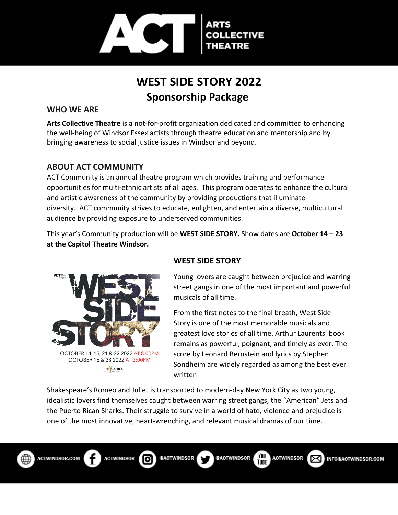

## **WEST SIDE STORY 2022 Sponsorship Package**

#### **WHO WE ARE**

**Arts Collective Theatre** is a not-for-profit organization dedicated and committed to enhancing the well-being of Windsor Essex artists through theatre education and mentorship and by bringing awareness to social justice issues in Windsor and beyond.

#### **ABOUT ACT COMMUNITY**

ACT Community is an annual theatre program which provides training and performance opportunities for multi-ethnic artists of all ages. This program operates to enhance the cultural and artistic awareness of the community by providing productions that illuminate diversity. ACT community strives to educate, enlighten, and entertain a diverse, multicultural audience by providing exposure to underserved communities.

This year's Community production will be **WEST SIDE STORY.** Show dates are **October 14 – 23 at the Capitol Theatre Windsor.**



#### **WEST SIDE STORY**

Young lovers are caught between prejudice and warring street gangs in one of the most important and powerful musicals of all time.

From the first notes to the final breath, West Side Story is one of the most memorable musicals and greatest love stories of all time. Arthur Laurents' book remains as powerful, poignant, and timely as ever. The score by Leonard Bernstein and lyrics by Stephen Sondheim are widely regarded as among the best ever written

Shakespeare's Romeo and Juliet is transported to modern-day New York City as two young, idealistic lovers find themselves caught between warring street gangs, the "American" Jets and the Puerto Rican Sharks. Their struggle to survive in a world of hate, violence and prejudice is one of the most innovative, heart-wrenching, and relevant musical dramas of our time.



Гo

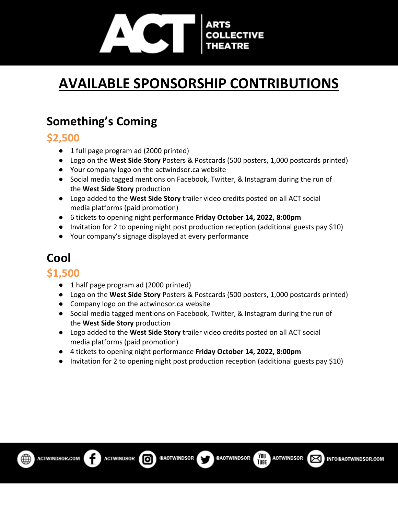# **LECTIVE**

# **AVAILABLE SPONSORSHIP CONTRIBUTIONS**

## **Something's Coming**

### **\$2,500**

- 1 full page program ad (2000 printed)
- Logo on the **West Side Story** Posters & Postcards (500 posters, 1,000 postcards printed)
- Your company logo on the actwindsor.ca website
- Social media tagged mentions on Facebook, Twitter, & Instagram during the run of the **West Side Story** production
- Logo added to the **West Side Story** trailer video credits posted on all ACT social media platforms (paid promotion)
- 6 tickets to opening night performance **Friday October 14, 2022, 8:00pm**
- Invitation for 2 to opening night post production reception (additional guests pay \$10)
- Your company's signage displayed at every performance

# **Cool**

#### **\$1,500**

- 1 half page program ad (2000 printed)
- Logo on the **West Side Story** Posters & Postcards (500 posters, 1,000 postcards printed)
- Company logo on the actwindsor.ca website
- Social media tagged mentions on Facebook, Twitter, & Instagram during the run of the **West Side Story** production
- Logo added to the **West Side Story** trailer video credits posted on all ACT social media platforms (paid promotion)
- 4 tickets to opening night performance **Friday October 14, 2022, 8:00pm**
- Invitation for 2 to opening night post production reception (additional guests pay \$10)